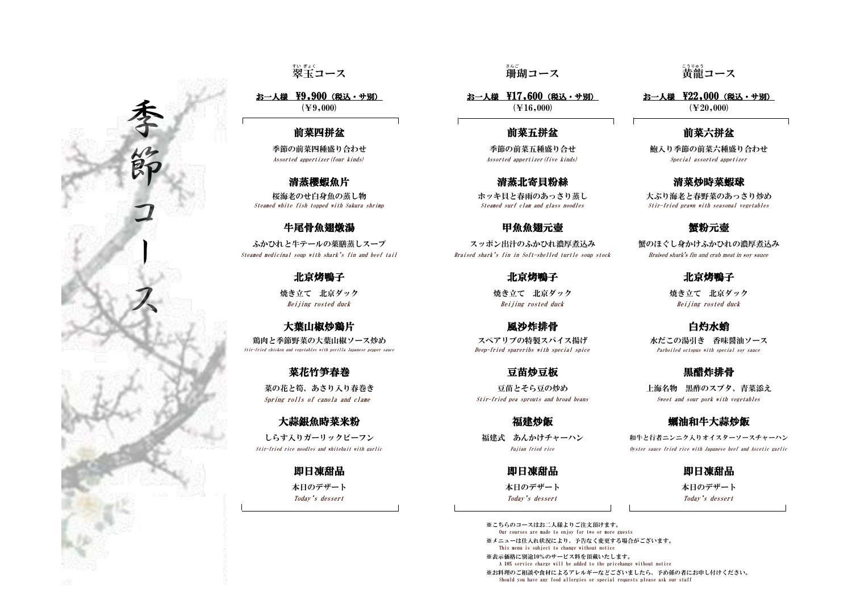### 前菜六拼盆

※こちらのコースはお二人様よりご注文頂けます。 Our courses are made to enjoy for two or more guests ※メニューは仕入れ状況により、予告なく変更する場合がございます。 This menu is subject to change without notice

Stir-fried rice noodles and whitebait with garlic Fujian fried rice Oyster sauce fried rice with Japanese beef and Ascetic garlic しらす入りガーリックビーフン おおおし おおし 福建式 あんかけチャーハン 和牛と行者ニンニク入りオイスターソースチャーハン

※表示価格に別途10%のサービス料を頂戴いたします。 A 10% service charge will be added to the pricehange witbout notice

本日のデザート 本日のデザート 本日のデザート あんじゅうがいしゃ

※お料理のご相談や食材によるアレルギーなどございましたら、予め係の者にお申し付けください。

Should you have any food allergies or special requests please ask our staff

## --<sub>3リゅう</sub><br>黄龍コース

( $\text{\yen}9,000$ ) ( $\text{\yen}20,000$ ) ( $\text{\yen}20,000$ ) お一人様 \9,900 (税込・サ別) お一人様 \17,600 (税込・サ別) お一人様 \22,000 (税込・サ別)

菜の花と筍、あさり入り春巻き ファイン ウェイス マガラ 豆苗とそら豆の炒め こうつい 上海名物 黒酢のスブタ、青菜添え Spring rolls of canola and clame Stir-fried pea sprouts and broad beans Sweet and sour pork with vegetables

Today's dessert Today's dessert Today's dessert

# 。。。<br>珊瑚コース

### 前菜四拼盆 おおおおおおおおお おおおお 前菜五拼盆

ふかひれと牛テールの薬膳蒸しスープ インコンコンコンポン出汁のふかひれ濃厚煮込み 蟹のほぐし身かけふかひれの濃厚煮込み

即日凍甜品 即日凍甜品 即日凍甜品

Stir-fried chicken and vegetables with perilla Japanese pepper sauce Deep-fried spareribs with special spice Parboiled octopus with special soy sauce

Beijing rosted duck Beijing rosted duck Beijing rosted duck

Steamed medicinal soup with shark's fin and beef tail Braised shark's fin in Soft-shelled turtle soup stock Braised shark's fin and crab meat in soy sauce

北京烤鴨子 北京烤鴨子 北京烤鴨子

大葉山椒炒鶏片 しょうしょう 風沙炸排骨 こうしゃ うちゅう 白灼水蛸 鶏肉と季節野菜の大葉山椒ソース炒め ファイン スペアリブの特製スパイス揚げ 水だこの湯引き 香味醤油ソース

# 菜花竹笋春巻 こうしゃ マガラ マガラ マガラ マガラ マガラ マガラ かんこう いちょう 黒醋炸排骨

## 大蒜銀魚時菜米粉 しゅうしゃ おおし インタン 福建炒飯 しゅうしゃ インス 蝋油和牛大蒜炒飯

Steamed white fish topped with Sakura shrimp Steamed surf clam and glass noodles Stir-fried prawn with seasonal vegetables

### 牛尾骨魚翅燉湯 キュー ウェイス 中魚魚翅元壺 きょうしょう 蟹粉元壺 きょうしょう

Assorted appertizer(four kinds) Assorted appertizer(five kinds) Special assorted appetizer

### 清蒸櫻蝦魚片 青菜 医二十二十二 清蒸北寄貝粉絲 青蒸樱蝦魚片 青菜炒時菜蝦球

桜海老のせ白身魚の蒸し物 インキング ホッキ貝と春雨のあっさり蒸し 大ぶり海老と春野菜のあっさり炒め

焼き立て 北京ダック おようしゃ 焼き立て 北京ダック おおしゃ しゅうせい 焼き立て 北京ダック

翠 すい 玉 ぎょく コース 珊瑚

季節の前菜四種盛り合わせ みちょう かんじょう かいこく 季節の前菜五種盛り合せ